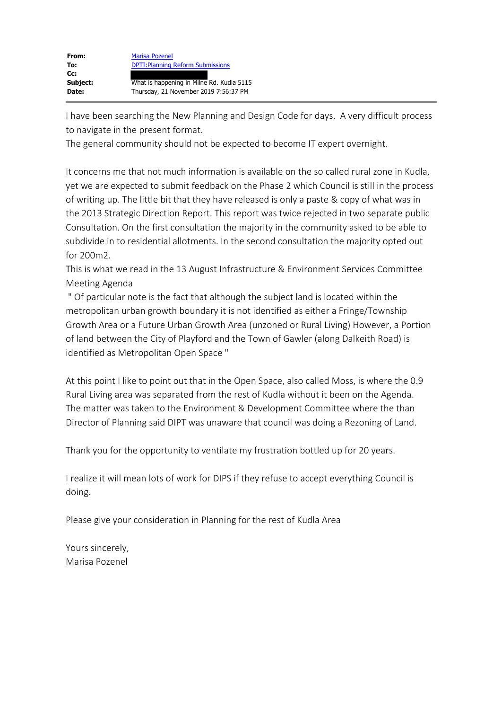| From:    | <b>Marisa Pozenel</b>                     |
|----------|-------------------------------------------|
| To:      | <b>DPTI: Planning Reform Submissions</b>  |
| $Cc$ :   |                                           |
| Subject: | What is happening in Milne Rd. Kudla 5115 |
| Date:    | Thursday, 21 November 2019 7:56:37 PM     |

I have been searching the New Planning and Design Code for days. A very difficult process to navigate in the present format.

The general community should not be expected to become IT expert overnight.

It concerns me that not much information is available on the so called rural zone in Kudla, yet we are expected to submit feedback on the Phase 2 which Council is still in the process of writing up. The little bit that they have released is only a paste & copy of what was in the 2013 Strategic Direction Report. This report was twice rejected in two separate public Consultation. On the first consultation the majority in the community asked to be able to subdivide in to residential allotments. In the second consultation the majority opted out for 200m2.

This is what we read in the 13 August Infrastructure & Environment Services Committee Meeting Agenda

" Of particular note is the fact that although the subject land is located within the metropolitan urban growth boundary it is not identified as either a Fringe/Township Growth Area or a Future Urban Growth Area (unzoned or Rural Living) However, a Portion of land between the City of Playford and the Town of Gawler (along Dalkeith Road) is identified as Metropolitan Open Space "

At this point I like to point out that in the Open Space, also called Moss, is where the 0.9 Rural Living area was separated from the rest of Kudla without it been on the Agenda. The matter was taken to the Environment & Development Committee where the than Director of Planning said DIPT was unaware that council was doing a Rezoning of Land.

Thank you for the opportunity to ventilate my frustration bottled up for 20 years.

I realize it will mean lots of work for DIPS if they refuse to accept everything Council is doing.

Please give your consideration in Planning for the rest of Kudla Area

Yours sincerely, Marisa Pozenel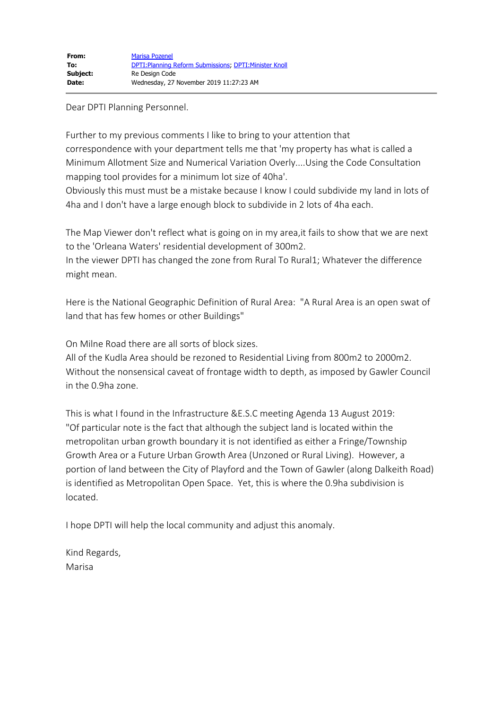Dear DPTI Planning Personnel.

Further to my previous comments I like to bring to your attention that correspondence with your department tells me that 'my property has what is called a Minimum Allotment Size and Numerical Variation Overly....Using the Code Consultation mapping tool provides for a minimum lot size of 40ha'.

Obviously this must must be a mistake because I know I could subdivide my land in lots of 4ha and I don't have a large enough block to subdivide in 2 lots of 4ha each.

The Map Viewer don't reflect what is going on in my area,it fails to show that we are next to the 'Orleana Waters' residential development of 300m2.

In the viewer DPTI has changed the zone from Rural To Rural1; Whatever the difference might mean.

Here is the National Geographic Definition of Rural Area: "A Rural Area is an open swat of land that has few homes or other Buildings"

On Milne Road there are all sorts of block sizes.

All of the Kudla Area should be rezoned to Residential Living from 800m2 to 2000m2. Without the nonsensical caveat of frontage width to depth, as imposed by Gawler Council in the 0.9ha zone.

This is what I found in the Infrastructure &E.S.C meeting Agenda 13 August 2019: "Of particular note is the fact that although the subject land is located within the metropolitan urban growth boundary it is not identified as either a Fringe/Township Growth Area or a Future Urban Growth Area (Unzoned or Rural Living). However, a portion of land between the City of Playford and the Town of Gawler (along Dalkeith Road) is identified as Metropolitan Open Space. Yet, this is where the 0.9ha subdivision is located.

I hope DPTI will help the local community and adjust this anomaly.

Kind Regards, Marisa